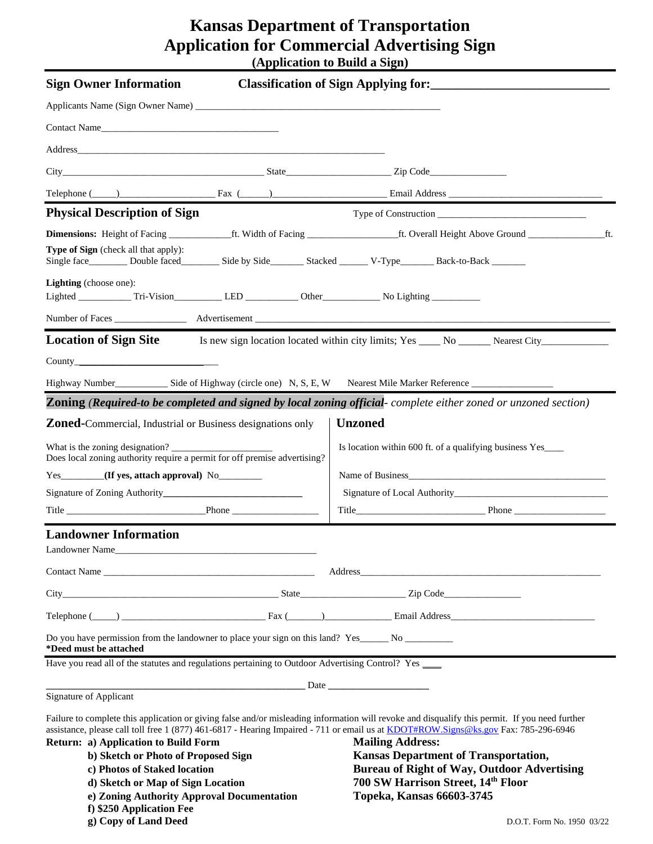# **Kansas Department of Transportation Application for Commercial Advertising Sign (Application to Build a Sign)**

| <b>Sign Owner Information</b>                                                                                                      |                                                                                                                       | Classification of Sign Applying for:                                                                                                                                                                                                                                                 |  |
|------------------------------------------------------------------------------------------------------------------------------------|-----------------------------------------------------------------------------------------------------------------------|--------------------------------------------------------------------------------------------------------------------------------------------------------------------------------------------------------------------------------------------------------------------------------------|--|
|                                                                                                                                    |                                                                                                                       |                                                                                                                                                                                                                                                                                      |  |
| Contact Name                                                                                                                       |                                                                                                                       |                                                                                                                                                                                                                                                                                      |  |
|                                                                                                                                    |                                                                                                                       |                                                                                                                                                                                                                                                                                      |  |
|                                                                                                                                    |                                                                                                                       |                                                                                                                                                                                                                                                                                      |  |
|                                                                                                                                    |                                                                                                                       |                                                                                                                                                                                                                                                                                      |  |
| <b>Physical Description of Sign</b>                                                                                                |                                                                                                                       | Telephone (Champion Communication Champion Champion Champion Champion Champion Champion Champion Champion Champion Champion Champion Champion Champion Champion Champion Champion Champion Champion Champion Champion Champion                                                       |  |
|                                                                                                                                    |                                                                                                                       |                                                                                                                                                                                                                                                                                      |  |
| <b>Type of Sign</b> (check all that apply):                                                                                        |                                                                                                                       | Single face Double faced Side by Side Stacked V-Type Back-to-Back ________                                                                                                                                                                                                           |  |
| Lighting (choose one):                                                                                                             |                                                                                                                       |                                                                                                                                                                                                                                                                                      |  |
|                                                                                                                                    |                                                                                                                       |                                                                                                                                                                                                                                                                                      |  |
| <b>Location of Sign Site</b>                                                                                                       |                                                                                                                       | Is new sign location located within city limits; Yes ______ No _________ Nearest City______________                                                                                                                                                                                  |  |
| Country                                                                                                                            |                                                                                                                       |                                                                                                                                                                                                                                                                                      |  |
|                                                                                                                                    |                                                                                                                       |                                                                                                                                                                                                                                                                                      |  |
|                                                                                                                                    |                                                                                                                       | Zoning (Required-to be completed and signed by local zoning official-complete either zoned or unzoned section)                                                                                                                                                                       |  |
| <b>Zoned-</b> Commercial, Industrial or Business designations only                                                                 |                                                                                                                       | <b>Unzoned</b>                                                                                                                                                                                                                                                                       |  |
| What is the zoning designation?<br>Does local zoning authority require a permit for off premise advertising?                       |                                                                                                                       | Is location within 600 ft. of a qualifying business Yes____                                                                                                                                                                                                                          |  |
| Yes_______(If yes, attach approval) No_______                                                                                      |                                                                                                                       |                                                                                                                                                                                                                                                                                      |  |
|                                                                                                                                    |                                                                                                                       |                                                                                                                                                                                                                                                                                      |  |
|                                                                                                                                    |                                                                                                                       |                                                                                                                                                                                                                                                                                      |  |
| <b>Landowner Information</b><br>Landowner Name                                                                                     |                                                                                                                       |                                                                                                                                                                                                                                                                                      |  |
| Contact Name                                                                                                                       |                                                                                                                       |                                                                                                                                                                                                                                                                                      |  |
|                                                                                                                                    |                                                                                                                       |                                                                                                                                                                                                                                                                                      |  |
|                                                                                                                                    |                                                                                                                       | Telephone (Company Company Company Company Company Company Company Company Company Company Company Company Company Company Company Company Company Company Company Company Company Company Company Company Company Company Com                                                       |  |
| Do you have permission from the landowner to place your sign on this land? Yes______ No _________<br>*Deed must be attached        |                                                                                                                       |                                                                                                                                                                                                                                                                                      |  |
| "Deed must be attached<br>Have you read all of the statutes and regulations pertaining to Outdoor Advertising Control? Yes _______ |                                                                                                                       |                                                                                                                                                                                                                                                                                      |  |
|                                                                                                                                    | <u>Example 2001</u> and 2002 and 2003 and 2003 and 2003 and 2003 and 2003 and 2003 and 2003 and 2003 and 2003 and 200 |                                                                                                                                                                                                                                                                                      |  |
| Signature of Applicant                                                                                                             |                                                                                                                       |                                                                                                                                                                                                                                                                                      |  |
|                                                                                                                                    |                                                                                                                       | Failure to complete this application or giving false and/or misleading information will revoke and disqualify this permit. If you need further<br>assistance, please call toll free 1 (877) 461-6817 - Hearing Impaired - 711 or email us at KDOT#ROW.Signs@ks.gov Fax: 785-296-6946 |  |
| Return: a) Application to Build Form                                                                                               |                                                                                                                       | <b>Mailing Address:</b>                                                                                                                                                                                                                                                              |  |
| b) Sketch or Photo of Proposed Sign                                                                                                |                                                                                                                       | <b>Kansas Department of Transportation,</b>                                                                                                                                                                                                                                          |  |
| c) Photos of Staked location                                                                                                       |                                                                                                                       | <b>Bureau of Right of Way, Outdoor Advertising</b><br>700 SW Harrison Street, 14th Floor                                                                                                                                                                                             |  |
| d) Sketch or Map of Sign Location                                                                                                  | e) Zoning Authority Approval Documentation                                                                            | Topeka, Kansas 66603-3745                                                                                                                                                                                                                                                            |  |
| f) \$250 Application Fee                                                                                                           |                                                                                                                       |                                                                                                                                                                                                                                                                                      |  |

**g) Copy of Land Deed** D.O.T. Form No. 1950 03/22